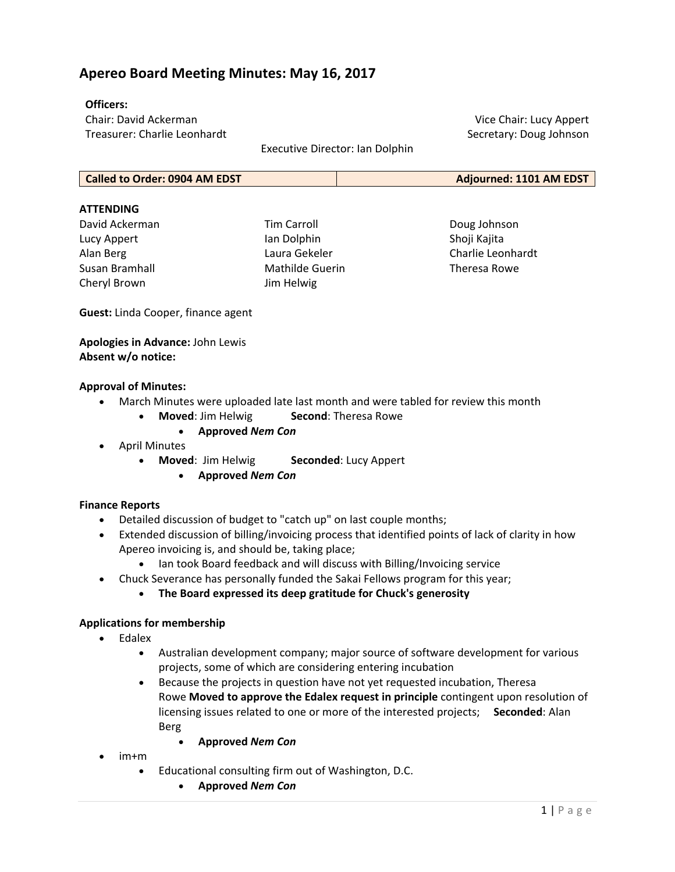# **Apereo Board Meeting Minutes: May 16, 2017**

# **Officers:**

Chair: David Ackerman Treasurer: Charlie Leonhardt

Executive Director: Ian Dolphin

**Called to Order: 0904 AM EDST Adjourned: 1101 AM EDST**

#### **ATTENDING**

David Ackerman Lucy Appert Alan Berg Susan Bramhall Cheryl Brown

Tim Carroll Ian Dolphin Laura Gekeler Mathilde Guerin Jim Helwig

Doug Johnson Shoji Kajita Charlie Leonhardt Theresa Rowe

Vice Chair: Lucy Appert Secretary: Doug Johnson

**Guest:** Linda Cooper, finance agent

**Apologies in Advance:** John Lewis **Absent w/o notice:**

#### **Approval of Minutes:**

- March Minutes were uploaded late last month and were tabled for review this month
	- **Moved**: Jim Helwig **Second**: Theresa Rowe
		- **Approved** *Nem Con*
- April Minutes
	- **Moved**: Jim Helwig **Seconded**: Lucy Appert
		- **Approved** *Nem Con*

# **Finance Reports**

- Detailed discussion of budget to "catch up" on last couple months;
- Extended discussion of billing/invoicing process that identified points of lack of clarity in how Apereo invoicing is, and should be, taking place;
	- Ian took Board feedback and will discuss with Billing/Invoicing service
- Chuck Severance has personally funded the Sakai Fellows program for this year;
	- **The Board expressed its deep gratitude for Chuck's generosity**

# **Applications for membership**

- Edalex
	- Australian development company; major source of software development for various projects, some of which are considering entering incubation
	- Because the projects in question have not yet requested incubation, Theresa Rowe **Moved to approve the Edalex request in principle** contingent upon resolution of licensing issues related to one or more of the interested projects; **Seconded**: Alan Berg
		- **Approved** *Nem Con*
- im+m
	- Educational consulting firm out of Washington, D.C.
		- **Approved** *Nem Con*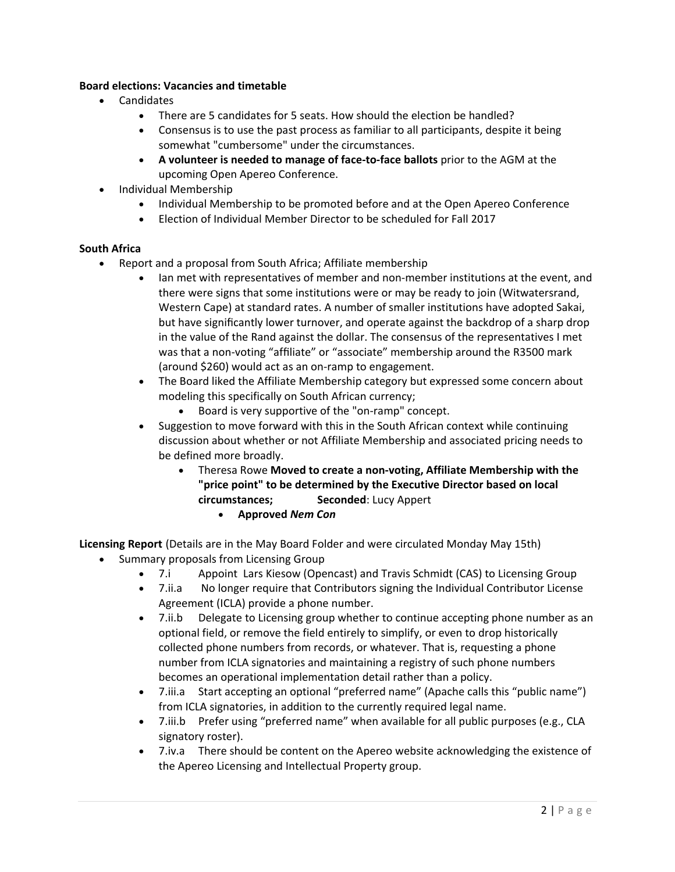# **Board elections: Vacancies and timetable**

- Candidates
	- There are 5 candidates for 5 seats. How should the election be handled?
	- Consensus is to use the past process as familiar to all participants, despite it being somewhat "cumbersome" under the circumstances.
	- **A volunteer is needed to manage of face‐to‐face ballots** prior to the AGM at the upcoming Open Apereo Conference.
- Individual Membership
	- Individual Membership to be promoted before and at the Open Apereo Conference
	- Election of Individual Member Director to be scheduled for Fall 2017

# **South Africa**

- Report and a proposal from South Africa; Affiliate membership
	- Ian met with representatives of member and non-member institutions at the event, and there were signs that some institutions were or may be ready to join (Witwatersrand, Western Cape) at standard rates. A number of smaller institutions have adopted Sakai, but have significantly lower turnover, and operate against the backdrop of a sharp drop in the value of the Rand against the dollar. The consensus of the representatives I met was that a non‐voting "affiliate" or "associate" membership around the R3500 mark (around \$260) would act as an on‐ramp to engagement.
	- The Board liked the Affiliate Membership category but expressed some concern about modeling this specifically on South African currency;
		- Board is very supportive of the "on-ramp" concept.
	- Suggestion to move forward with this in the South African context while continuing discussion about whether or not Affiliate Membership and associated pricing needs to be defined more broadly.
		- Theresa Rowe **Moved to create a non‐voting, Affiliate Membership with the "price point" to be determined by the Executive Director based on local circumstances; Seconded**: Lucy Appert
			- **Approved** *Nem Con*

**Licensing Report** (Details are in the May Board Folder and were circulated Monday May 15th)

- Summary proposals from Licensing Group
	- 7.i Appoint Lars Kiesow (Opencast) and Travis Schmidt (CAS) to Licensing Group
	- 7.ii.a No longer require that Contributors signing the Individual Contributor License Agreement (ICLA) provide a phone number.
	- 7.ii.b Delegate to Licensing group whether to continue accepting phone number as an optional field, or remove the field entirely to simplify, or even to drop historically collected phone numbers from records, or whatever. That is, requesting a phone number from ICLA signatories and maintaining a registry of such phone numbers becomes an operational implementation detail rather than a policy.
	- 7.iii.a Start accepting an optional "preferred name" (Apache calls this "public name") from ICLA signatories, in addition to the currently required legal name.
	- 7.iii.b Prefer using "preferred name" when available for all public purposes (e.g., CLA signatory roster).
	- 7.iv.a There should be content on the Apereo website acknowledging the existence of the Apereo Licensing and Intellectual Property group.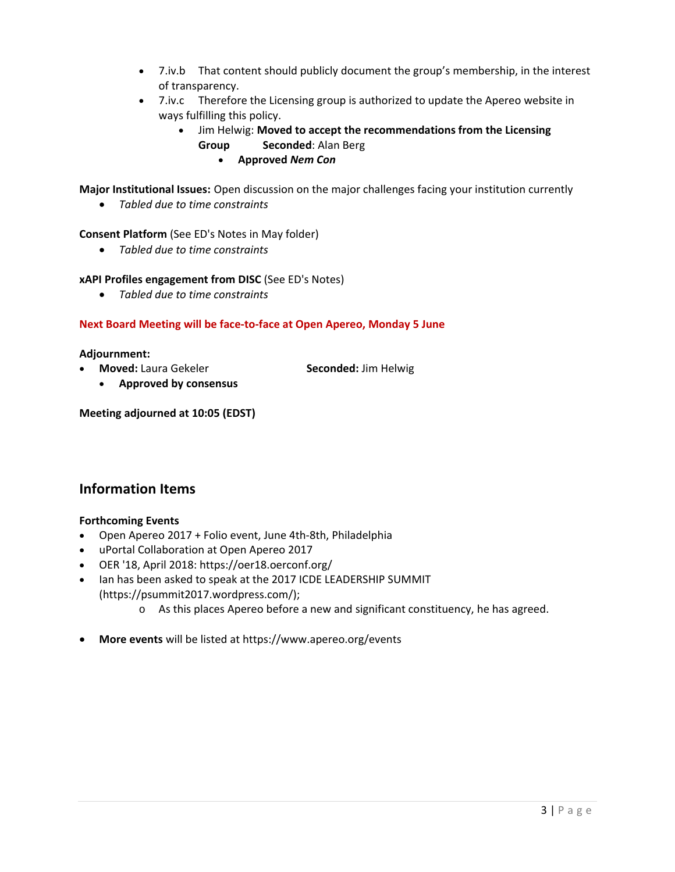- 7.iv.b That content should publicly document the group's membership, in the interest of transparency.
- 7.iv.c Therefore the Licensing group is authorized to update the Apereo website in ways fulfilling this policy.
	- Jim Helwig: **Moved to accept the recommendations from the Licensing Group Seconded**: Alan Berg
		- **Approved** *Nem Con*

**Major Institutional Issues:** Open discussion on the major challenges facing your institution currently

*Tabled due to time constraints*

**Consent Platform** (See ED's Notes in May folder)

*Tabled due to time constraints*

#### **xAPI Profiles engagement from DISC** (See ED's Notes)

*Tabled due to time constraints*

# **Next Board Meeting will be face‐to‐face at Open Apereo, Monday 5 June**

#### **Adjournment:**

**Moved:** Laura Gekeler **Seconded:** Jim Helwig

**Approved by consensus**

**Meeting adjourned at 10:05 (EDST)**

# **Information Items**

# **Forthcoming Events**

- Open Apereo 2017 + Folio event, June 4th‐8th, Philadelphia
- uPortal Collaboration at Open Apereo 2017
- OER '18, April 2018: https://oer18.oerconf.org/
- Ian has been asked to speak at the 2017 ICDE LEADERSHIP SUMMIT (https://psummit2017.wordpress.com/);
	- o As this places Apereo before a new and significant constituency, he has agreed.
- **More events** will be listed at https://www.apereo.org/events